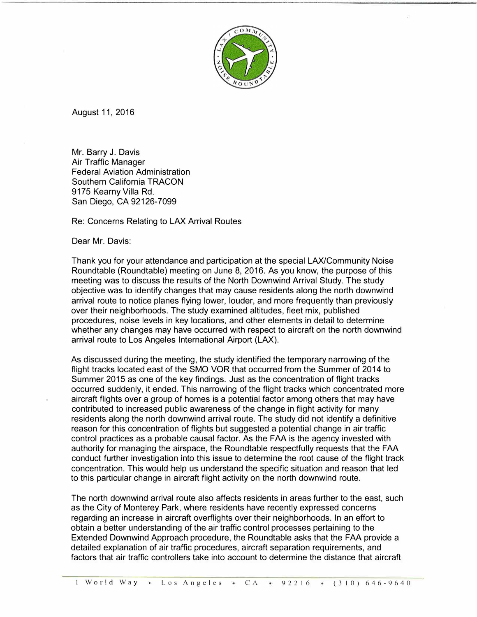

August 11, 2016

Mr. Barry J. Davis Air Traffic Manager Federal Aviation Administration Southern California TRACON 9175 Kearny Villa Rd. San Diego, CA 92126-7099

Re: Concerns Relating to LAX Arrival Routes

Dear Mr. Davis:

Thank you for your attendance and participation at the special LAX/Community Noise Roundtable (Roundtable) meeting on June 8, 2016. As you know, the purpose of this meeting was to discuss the results of the North Downwind Arrival Study. The study objective was to identify changes that may cause residents along the north downwind arrival route to notice planes flying lower, louder, and more frequently than previously over their neighborhoods. The study examined altitudes, fleet mix, published procedures, noise levels in key locations, and other elements in detail to determine whether any changes may have occurred with respect to aircraft on the north downwind arrival route to Los Angeles International Airport (LAX).

As discussed during the meeting, the study identified the temporary narrowing of the flight tracks located east of the SMO VOR that occurred from the Summer of 2014 to Summer 2015 as one of the key findings. Just as the concentration of flight tracks occurred suddenly, it ended. This narrowing of the flight tracks which concentrated more aircraft flights over a group of homes is a potential factor among others that may have contributed to increased public awareness of the change in flight activity for many residents along the north downwind arrival route. The study did not identify a definitive reason for this concentration of flights but suggested a potential change in air traffic control practices as a probable causal factor. As the FAA is the agency invested with authority for managing the airspace, the Roundtable respectfully requests that the FAA conduct further investigation into this issue to determine the root cause of the flight track concentration. This would help us understand the specific situation and reason that led to this particular change in aircraft flight activity on the north downwind route.

The north downwind arrival route also affects residents in areas further to the east, such as the City of Monterey Park, where residents have recently expressed concerns regarding an increase in aircraft overflights over their neighborhoods. In an effort to obtain a better understanding of the air traffic control processes pertaining to the Extended Downwind Approach procedure, the Roundtable asks that the FAA provide a detailed explanation of air traffic procedures, aircraft separation requirements, and factors that air traffic controllers take into account to determine the distance that aircraft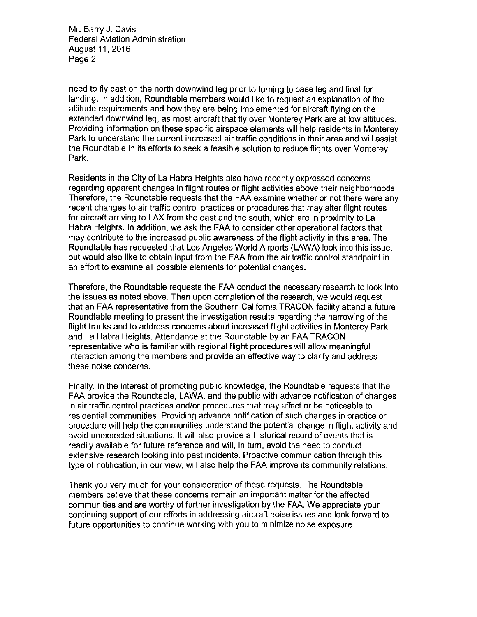Mr. Barry J. Davis **Federal Aviation Administration** August 11, 2016 Page 2

need to fly east on the north downwind leg prior to turning to base leg and final for landing. In addition, Roundtable members would like to request an explanation of the altitude requirements and how they are being implemented for aircraft flying on the extended downwind leg, as most aircraft that fly over Monterey Park are at low altitudes. Providing information on these specific airspace elements will help residents in Monterey Park to understand the current increased air traffic conditions in their area and will assist the Roundtable in its efforts to seek a feasible solution to reduce flights over Monterey Park.

Residents in the City of La Habra Heights also have recently expressed concerns regarding apparent changes in flight routes or flight activities above their neighborhoods. Therefore, the Roundtable requests that the FAA examine whether or not there were any recent changes to air traffic control practices or procedures that may alter flight routes for aircraft arriving to LAX from the east and the south, which are in proximity to La Habra Heights. In addition, we ask the FAA to consider other operational factors that may contribute to the increased public awareness of the flight activity in this area. The Roundtable has requested that Los Angeles World Airports (LAWA) look into this issue, but would also like to obtain input from the FAA from the air traffic control standpoint in an effort to examine all possible elements for potential changes.

Therefore, the Roundtable requests the FAA conduct the necessary research to look into the issues as noted above. Then upon completion of the research, we would request that an FAA representative from the Southern California TRACON facility attend a future Roundtable meeting to present the investigation results regarding the narrowing of the flight tracks and to address concerns about increased flight activities in Monterey Park and La Habra Heights. Attendance at the Roundtable by an FAA TRACON representative who is familiar with regional flight procedures will allow meaningful interaction among the members and provide an effective way to clarify and address these noise concerns.

Finally, in the interest of promoting public knowledge, the Roundtable requests that the FAA provide the Roundtable, LAWA, and the public with advance notification of changes in air traffic control practices and/or procedures that may affect or be noticeable to residential communities. Providing advance notification of such changes in practice or procedure will help the communities understand the potential change in flight activity and avoid unexpected situations. It will also provide a historical record of events that is readily available for future reference and will, in turn, avoid the need to conduct extensive research looking into past incidents. Proactive communication through this type of notification, in our view, will also help the FAA improve its community relations.

Thank you very much for your consideration of these requests. The Roundtable members believe that these concerns remain an important matter for the affected communities and are worthy of further investigation by the FAA. We appreciate your continuing support of our efforts in addressing aircraft noise issues and look forward to future opportunities to continue working with you to minimize noise exposure.